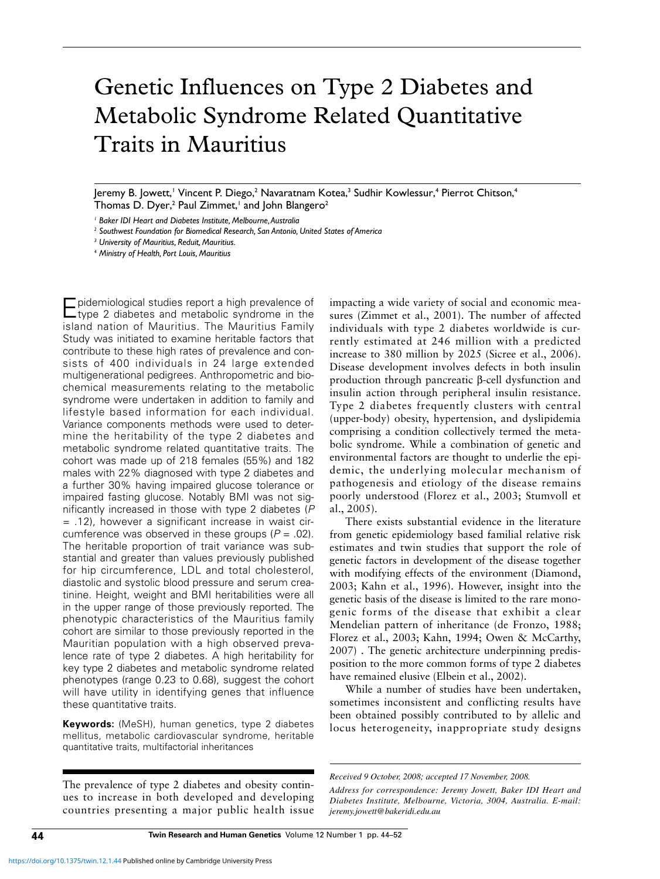# Genetic Influences on Type 2 Diabetes and Metabolic Syndrome Related Quantitative Traits in Mauritius

Jeremy B. Jowett,<sup>1</sup> Vincent P. Diego,<sup>2</sup> Navaratnam Kotea,<sup>3</sup> Sudhir Kowlessur,<sup>4</sup> Pierrot Chitson,<sup>4</sup> Thomas D. Dyer,<sup>2</sup> Paul Zimmet,<sup>1</sup> and John Blangero<sup>2</sup>

*<sup>1</sup> Baker IDI Heart and Diabetes Institute, Melbourne, Australia*

*<sup>2</sup> Southwest Foundation for Biomedical Research, San Antonio, United States of America*

*<sup>3</sup> University of Mauritius, Reduit, Mauritius.*

*<sup>4</sup> Ministry of Health, Port Louis, Mauritius*

pidemiological studies report a high prevalence of type 2 diabetes and metabolic syndrome in the island nation of Mauritius. The Mauritius Family Study was initiated to examine heritable factors that contribute to these high rates of prevalence and consists of 400 individuals in 24 large extended multigenerational pedigrees. Anthropometric and biochemical measurements relating to the metabolic syndrome were undertaken in addition to family and lifestyle based information for each individual. Variance components methods were used to determine the heritability of the type 2 diabetes and metabolic syndrome related quantitative traits. The cohort was made up of 218 females (55%) and 182 males with 22% diagnosed with type 2 diabetes and a further 30% having impaired glucose tolerance or impaired fasting glucose. Notably BMI was not significantly increased in those with type 2 diabetes (P = .12), however a significant increase in waist circumference was observed in these groups  $(P = .02)$ . The heritable proportion of trait variance was substantial and greater than values previously published for hip circumference, LDL and total cholesterol, diastolic and systolic blood pressure and serum creatinine. Height, weight and BMI heritabilities were all in the upper range of those previously reported. The phenotypic characteristics of the Mauritius family cohort are similar to those previously reported in the Mauritian population with a high observed prevalence rate of type 2 diabetes. A high heritability for key type 2 diabetes and metabolic syndrome related phenotypes (range 0.23 to 0.68), suggest the cohort will have utility in identifying genes that influence these quantitative traits.

**Keywords:** (MeSH), human genetics, type 2 diabetes mellitus, metabolic cardiovascular syndrome, heritable quantitative traits, multifactorial inheritances

The prevalence of type 2 diabetes and obesity continues to increase in both developed and developing countries presenting a major public health issue

impacting a wide variety of social and economic measures (Zimmet et al., 2001). The number of affected individuals with type 2 diabetes worldwide is currently estimated at 246 million with a predicted increase to 380 million by 2025 (Sicree et al., 2006). Disease development involves defects in both insulin production through pancreatic β-cell dysfunction and insulin action through peripheral insulin resistance. Type 2 diabetes frequently clusters with central (upper-body) obesity, hypertension, and dyslipidemia comprising a condition collectively termed the metabolic syndrome. While a combination of genetic and environmental factors are thought to underlie the epidemic, the underlying molecular mechanism of pathogenesis and etiology of the disease remains poorly understood (Florez et al., 2003; Stumvoll et al., 2005).

There exists substantial evidence in the literature from genetic epidemiology based familial relative risk estimates and twin studies that support the role of genetic factors in development of the disease together with modifying effects of the environment (Diamond, 2003; Kahn et al., 1996). However, insight into the genetic basis of the disease is limited to the rare monogenic forms of the disease that exhibit a clear Mendelian pattern of inheritance (de Fronzo, 1988; Florez et al., 2003; Kahn, 1994; Owen & McCarthy, 2007) . The genetic architecture underpinning predisposition to the more common forms of type 2 diabetes have remained elusive (Elbein et al., 2002).

While a number of studies have been undertaken, sometimes inconsistent and conflicting results have been obtained possibly contributed to by allelic and locus heterogeneity, inappropriate study designs

*Received 9 October, 2008; accepted 17 November, 2008.*

*Address for correspondence: Jeremy Jowett, Baker IDI Heart and Diabetes Institute, Melbourne, Victoria, 3004, Australia. E-mail: jeremy.jowett@bakeridi.edu.au*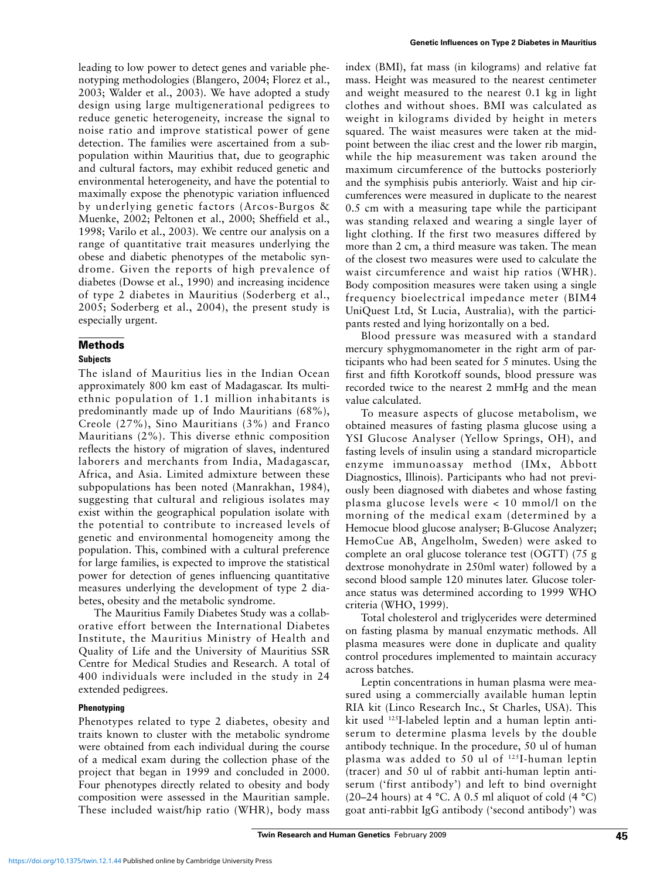leading to low power to detect genes and variable phenotyping methodologies (Blangero, 2004; Florez et al., 2003; Walder et al., 2003). We have adopted a study design using large multigenerational pedigrees to reduce genetic heterogeneity, increase the signal to noise ratio and improve statistical power of gene detection. The families were ascertained from a subpopulation within Mauritius that, due to geographic and cultural factors, may exhibit reduced genetic and environmental heterogeneity, and have the potential to maximally expose the phenotypic variation influenced by underlying genetic factors (Arcos-Burgos & Muenke, 2002; Peltonen et al., 2000; Sheffield et al., 1998; Varilo et al., 2003). We centre our analysis on a range of quantitative trait measures underlying the obese and diabetic phenotypes of the metabolic syndrome. Given the reports of high prevalence of diabetes (Dowse et al., 1990) and increasing incidence of type 2 diabetes in Mauritius (Soderberg et al., 2005; Soderberg et al., 2004), the present study is especially urgent.

## **Methods**

## **Subjects**

The island of Mauritius lies in the Indian Ocean approximately 800 km east of Madagascar. Its multiethnic population of 1.1 million inhabitants is predominantly made up of Indo Mauritians (68%), Creole (27%), Sino Mauritians (3%) and Franco Mauritians (2%). This diverse ethnic composition reflects the history of migration of slaves, indentured laborers and merchants from India, Madagascar, Africa, and Asia. Limited admixture between these subpopulations has been noted (Manrakhan, 1984), suggesting that cultural and religious isolates may exist within the geographical population isolate with the potential to contribute to increased levels of genetic and environmental homogeneity among the population. This, combined with a cultural preference for large families, is expected to improve the statistical power for detection of genes influencing quantitative measures underlying the development of type 2 diabetes, obesity and the metabolic syndrome.

The Mauritius Family Diabetes Study was a collaborative effort between the International Diabetes Institute, the Mauritius Ministry of Health and Quality of Life and the University of Mauritius SSR Centre for Medical Studies and Research. A total of 400 individuals were included in the study in 24 extended pedigrees.

## **Phenotyping**

Phenotypes related to type 2 diabetes, obesity and traits known to cluster with the metabolic syndrome were obtained from each individual during the course of a medical exam during the collection phase of the project that began in 1999 and concluded in 2000. Four phenotypes directly related to obesity and body composition were assessed in the Mauritian sample. These included waist/hip ratio (WHR), body mass index (BMI), fat mass (in kilograms) and relative fat mass. Height was measured to the nearest centimeter and weight measured to the nearest 0.1 kg in light clothes and without shoes. BMI was calculated as weight in kilograms divided by height in meters squared. The waist measures were taken at the midpoint between the iliac crest and the lower rib margin, while the hip measurement was taken around the maximum circumference of the buttocks posteriorly and the symphisis pubis anteriorly. Waist and hip circumferences were measured in duplicate to the nearest 0.5 cm with a measuring tape while the participant was standing relaxed and wearing a single layer of light clothing. If the first two measures differed by more than 2 cm, a third measure was taken. The mean of the closest two measures were used to calculate the waist circumference and waist hip ratios (WHR). Body composition measures were taken using a single frequency bioelectrical impedance meter (BIM4 UniQuest Ltd, St Lucia, Australia), with the participants rested and lying horizontally on a bed.

Blood pressure was measured with a standard mercury sphygmomanometer in the right arm of participants who had been seated for 5 minutes. Using the first and fifth Korotkoff sounds, blood pressure was recorded twice to the nearest 2 mmHg and the mean value calculated.

To measure aspects of glucose metabolism, we obtained measures of fasting plasma glucose using a YSI Glucose Analyser (Yellow Springs, OH), and fasting levels of insulin using a standard microparticle enzyme immunoassay method (IMx, Abbott Diagnostics, Illinois). Participants who had not previously been diagnosed with diabetes and whose fasting plasma glucose levels were < 10 mmol/l on the morning of the medical exam (determined by a Hemocue blood glucose analyser; B-Glucose Analyzer; HemoCue AB, Angelholm, Sweden) were asked to complete an oral glucose tolerance test (OGTT) (75 g dextrose monohydrate in 250ml water) followed by a second blood sample 120 minutes later. Glucose tolerance status was determined according to 1999 WHO criteria (WHO, 1999).

Total cholesterol and triglycerides were determined on fasting plasma by manual enzymatic methods. All plasma measures were done in duplicate and quality control procedures implemented to maintain accuracy across batches.

Leptin concentrations in human plasma were measured using a commercially available human leptin RIA kit (Linco Research Inc., St Charles, USA). This kit used 125I-labeled leptin and a human leptin antiserum to determine plasma levels by the double antibody technique. In the procedure, 50 ul of human plasma was added to 50 ul of 125I-human leptin (tracer) and 50 ul of rabbit anti-human leptin antiserum ('first antibody') and left to bind overnight (20–24 hours) at 4 °C. A 0.5 ml aliquot of cold (4 °C) goat anti-rabbit IgG antibody ('second antibody') was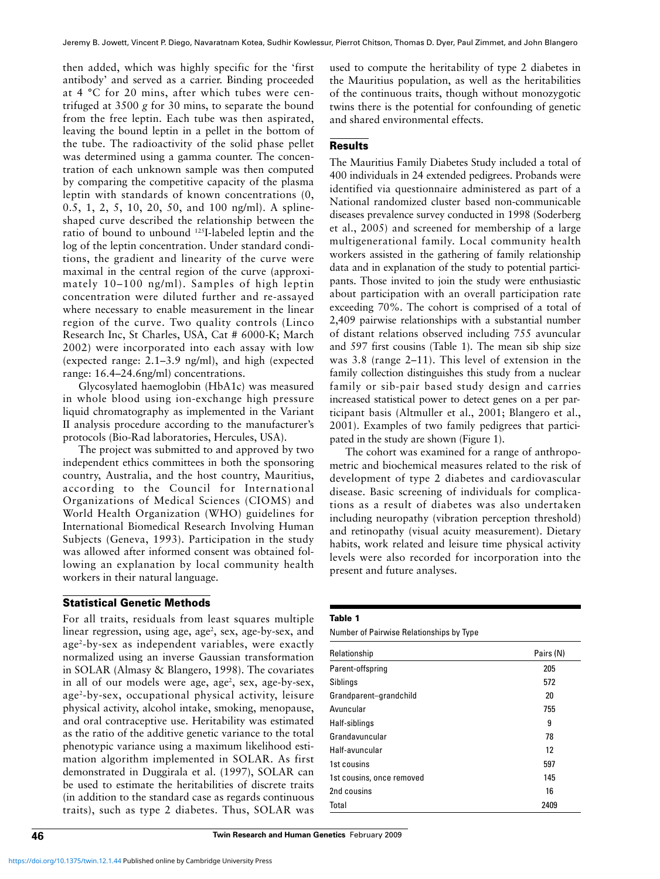then added, which was highly specific for the 'first antibody' and served as a carrier. Binding proceeded at 4 °C for 20 mins, after which tubes were centrifuged at 3500 *g* for 30 mins, to separate the bound from the free leptin. Each tube was then aspirated, leaving the bound leptin in a pellet in the bottom of the tube. The radioactivity of the solid phase pellet was determined using a gamma counter. The concentration of each unknown sample was then computed by comparing the competitive capacity of the plasma leptin with standards of known concentrations (0, 0.5, 1, 2, 5, 10, 20, 50, and 100 ng/ml). A splineshaped curve described the relationship between the ratio of bound to unbound 125I-labeled leptin and the log of the leptin concentration. Under standard conditions, the gradient and linearity of the curve were maximal in the central region of the curve (approximately 10–100 ng/ml). Samples of high leptin concentration were diluted further and re-assayed where necessary to enable measurement in the linear region of the curve. Two quality controls (Linco Research Inc, St Charles, USA, Cat # 6000-K; March 2002) were incorporated into each assay with low (expected range: 2.1–3.9 ng/ml), and high (expected range: 16.4–24.6ng/ml) concentrations.

Glycosylated haemoglobin (HbA1c) was measured in whole blood using ion-exchange high pressure liquid chromatography as implemented in the Variant II analysis procedure according to the manufacturer's protocols (Bio-Rad laboratories, Hercules, USA).

The project was submitted to and approved by two independent ethics committees in both the sponsoring country, Australia, and the host country, Mauritius, according to the Council for International Organizations of Medical Sciences (CIOMS) and World Health Organization (WHO) guidelines for International Biomedical Research Involving Human Subjects (Geneva, 1993). Participation in the study was allowed after informed consent was obtained following an explanation by local community health workers in their natural language.

## **Statistical Genetic Methods**

For all traits, residuals from least squares multiple linear regression, using age, age<sup>2</sup>, sex, age-by-sex, and age2-by-sex as independent variables, were exactly normalized using an inverse Gaussian transformation in SOLAR (Almasy & Blangero, 1998). The covariates in all of our models were age, age<sup>2</sup>, sex, age-by-sex, age2-by-sex, occupational physical activity, leisure physical activity, alcohol intake, smoking, menopause, and oral contraceptive use. Heritability was estimated as the ratio of the additive genetic variance to the total phenotypic variance using a maximum likelihood estimation algorithm implemented in SOLAR. As first demonstrated in Duggirala et al. (1997), SOLAR can be used to estimate the heritabilities of discrete traits (in addition to the standard case as regards continuous traits), such as type 2 diabetes. Thus, SOLAR was

used to compute the heritability of type 2 diabetes in the Mauritius population, as well as the heritabilities of the continuous traits, though without monozygotic twins there is the potential for confounding of genetic and shared environmental effects.

# **Results**

The Mauritius Family Diabetes Study included a total of 400 individuals in 24 extended pedigrees. Probands were identified via questionnaire administered as part of a National randomized cluster based non-communicable diseases prevalence survey conducted in 1998 (Soderberg et al., 2005) and screened for membership of a large multigenerational family. Local community health workers assisted in the gathering of family relationship data and in explanation of the study to potential participants. Those invited to join the study were enthusiastic about participation with an overall participation rate exceeding 70%. The cohort is comprised of a total of 2,409 pairwise relationships with a substantial number of distant relations observed including 755 avuncular and 597 first cousins (Table 1). The mean sib ship size was 3.8 (range 2–11). This level of extension in the family collection distinguishes this study from a nuclear family or sib-pair based study design and carries increased statistical power to detect genes on a per participant basis (Altmuller et al., 2001; Blangero et al., 2001). Examples of two family pedigrees that participated in the study are shown (Figure 1).

The cohort was examined for a range of anthropometric and biochemical measures related to the risk of development of type 2 diabetes and cardiovascular disease. Basic screening of individuals for complications as a result of diabetes was also undertaken including neuropathy (vibration perception threshold) and retinopathy (visual acuity measurement). Dietary habits, work related and leisure time physical activity levels were also recorded for incorporation into the present and future analyses.

#### **Table 1**

Number of Pairwise Relationships by Type

| Relationship              | Pairs (N) |
|---------------------------|-----------|
| Parent-offspring          | 205       |
| Siblings                  | 572       |
| Grandparent-grandchild    | 20        |
| Avuncular                 | 755       |
| Half-siblings             | 9         |
| Grandavuncular            | 78        |
| Half-avuncular            | 12        |
| 1st cousins               | 597       |
| 1st cousins, once removed | 145       |
| 2nd cousins               | 16        |
| Total                     | 2409      |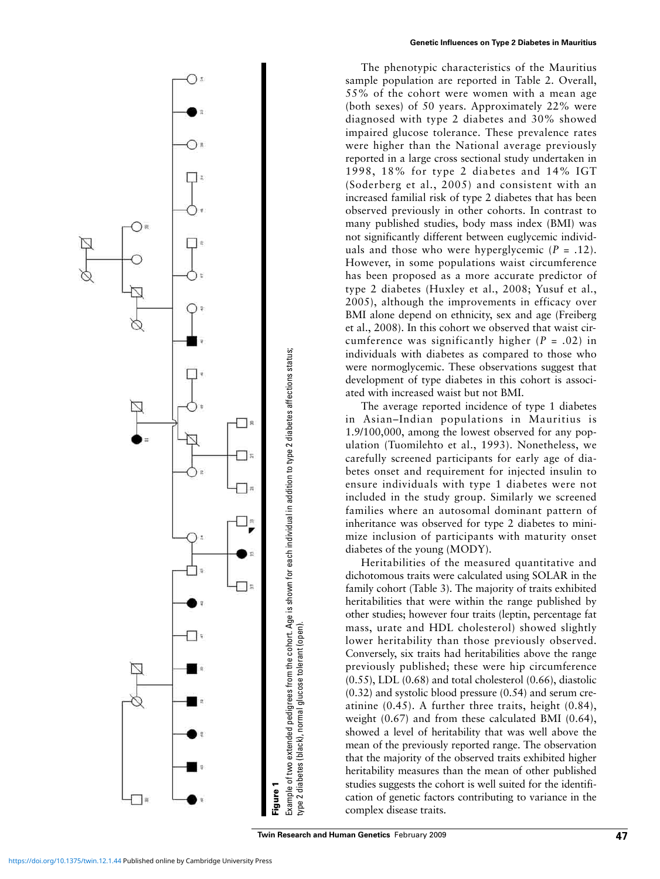

The phenotypic characteristics of the Mauritius sample population are reported in Table 2. Overall, 55% of the cohort were women with a mean age (both sexes) of 50 years. Approximately 22% were diagnosed with type 2 diabetes and 30% showed impaired glucose tolerance. These prevalence rates were higher than the National average previously reported in a large cross sectional study undertaken in 1998, 18% for type 2 diabetes and 14% IGT (Soderberg et al., 2005) and consistent with an increased familial risk of type 2 diabetes that has been observed previously in other cohorts. In contrast to many published studies, body mass index (BMI) was not significantly different between euglycemic individuals and those who were hyperglycemic  $(P = .12)$ . However, in some populations waist circumference has been proposed as a more accurate predictor of type 2 diabetes (Huxley et al., 2008; Yusuf et al., 2005), although the improvements in efficacy over BMI alone depend on ethnicity, sex and age (Freiberg et al., 2008). In this cohort we observed that waist circumference was significantly higher (*P* = .02) in individuals with diabetes as compared to those who were normoglycemic. These observations suggest that development of type diabetes in this cohort is associated with increased waist but not BMI.

The average reported incidence of type 1 diabetes in Asian–Indian populations in Mauritius is 1.9/100,000, among the lowest observed for any population (Tuomilehto et al., 1993). Nonetheless, we carefully screened participants for early age of diabetes onset and requirement for injected insulin to ensure individuals with type 1 diabetes were not included in the study group. Similarly we screened families where an autosomal dominant pattern of inheritance was observed for type 2 diabetes to minimize inclusion of participants with maturity onset diabetes of the young (MODY).

Heritabilities of the measured quantitative and dichotomous traits were calculated using SOLAR in the family cohort (Table 3). The majority of traits exhibited heritabilities that were within the range published by other studies; however four traits (leptin, percentage fat mass, urate and HDL cholesterol) showed slightly lower heritability than those previously observed. Conversely, six traits had heritabilities above the range previously published; these were hip circumference (0.55), LDL (0.68) and total cholesterol (0.66), diastolic (0.32) and systolic blood pressure (0.54) and serum creatinine (0.45). A further three traits, height (0.84), weight (0.67) and from these calculated BMI (0.64), showed a level of heritability that was well above the mean of the previously reported range. The observation that the majority of the observed traits exhibited higher heritability measures than the mean of other published studies suggests the cohort is well suited for the identification of genetic factors contributing to variance in the complex disease traits.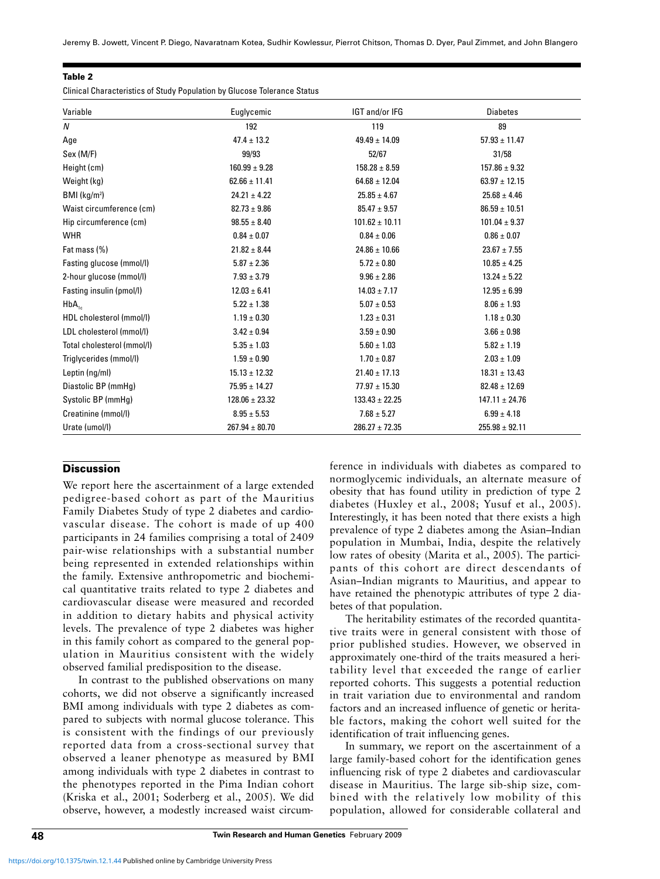|  | ۰, |
|--|----|
|--|----|

Clinical Characteristics of Study Population by Glucose Tolerance Status

| Variable                   | Euglycemic         | IGT and/or IFG     | <b>Diabetes</b>    |
|----------------------------|--------------------|--------------------|--------------------|
| N                          | 192                | 119                | 89                 |
| Age                        | $47.4 \pm 13.2$    | $49.49 \pm 14.09$  | $57.93 \pm 11.47$  |
| Sex (M/F)                  | 99/93              | 52/67              | 31/58              |
| Height (cm)                | $160.99 \pm 9.28$  | $158.28 \pm 8.59$  | $157.86 \pm 9.32$  |
| Weight (kg)                | $62.66 \pm 11.41$  | $64.68 \pm 12.04$  | $63.97 \pm 12.15$  |
| BMI (kg/m <sup>2</sup> )   | $24.21 \pm 4.22$   | $25.85 \pm 4.67$   | $25.68 \pm 4.46$   |
| Waist circumference (cm)   | $82.73 \pm 9.86$   | $85.47 \pm 9.57$   | $86.59 \pm 10.51$  |
| Hip circumference (cm)     | $98.55 \pm 8.40$   | $101.62 \pm 10.11$ | $101.04 \pm 9.37$  |
| <b>WHR</b>                 | $0.84 \pm 0.07$    | $0.84 \pm 0.06$    | $0.86 \pm 0.07$    |
| Fat mass (%)               | $21.82 \pm 8.44$   | $24.86 \pm 10.66$  | $23.67 \pm 7.55$   |
| Fasting glucose (mmol/l)   | $5.87 \pm 2.36$    | $5.72 \pm 0.80$    | $10.85 \pm 4.25$   |
| 2-hour glucose (mmol/l)    | $7.93 \pm 3.79$    | $9.96 \pm 2.86$    | $13.24 \pm 5.22$   |
| Fasting insulin (pmol/l)   | $12.03 \pm 6.41$   | $14.03 \pm 7.17$   | $12.95 \pm 6.99$   |
| $HbA_{1c}$                 | $5.22 \pm 1.38$    | $5.07 \pm 0.53$    | $8.06 \pm 1.93$    |
| HDL cholesterol (mmol/l)   | $1.19 \pm 0.30$    | $1.23 \pm 0.31$    | $1.18 \pm 0.30$    |
| LDL cholesterol (mmol/l)   | $3.42 \pm 0.94$    | $3.59 \pm 0.90$    | $3.66 \pm 0.98$    |
| Total cholesterol (mmol/l) | $5.35 \pm 1.03$    | $5.60 \pm 1.03$    | $5.82 \pm 1.19$    |
| Triglycerides (mmol/l)     | $1.59 \pm 0.90$    | $1.70 \pm 0.87$    | $2.03 \pm 1.09$    |
| Leptin (ng/ml)             | $15.13 \pm 12.32$  | $21.40 \pm 17.13$  | $18.31 \pm 13.43$  |
| Diastolic BP (mmHq)        | $75.95 \pm 14.27$  | $77.97 \pm 15.30$  | $82.48 \pm 12.69$  |
| Systolic BP (mmHq)         | $128.06 \pm 23.32$ | $133.43 \pm 22.25$ | $147.11 \pm 24.76$ |
| Creatinine (mmol/l)        | $8.95 \pm 5.53$    | $7.68 \pm 5.27$    | $6.99 \pm 4.18$    |
| Urate (umol/l)             | $267.94 \pm 80.70$ | $286.27 \pm 72.35$ | $255.98 \pm 92.11$ |

# **Discussion**

We report here the ascertainment of a large extended pedigree-based cohort as part of the Mauritius Family Diabetes Study of type 2 diabetes and cardiovascular disease. The cohort is made of up 400 participants in 24 families comprising a total of 2409 pair-wise relationships with a substantial number being represented in extended relationships within the family. Extensive anthropometric and biochemical quantitative traits related to type 2 diabetes and cardiovascular disease were measured and recorded in addition to dietary habits and physical activity levels. The prevalence of type 2 diabetes was higher in this family cohort as compared to the general population in Mauritius consistent with the widely observed familial predisposition to the disease.

In contrast to the published observations on many cohorts, we did not observe a significantly increased BMI among individuals with type 2 diabetes as compared to subjects with normal glucose tolerance. This is consistent with the findings of our previously reported data from a cross-sectional survey that observed a leaner phenotype as measured by BMI among individuals with type 2 diabetes in contrast to the phenotypes reported in the Pima Indian cohort (Kriska et al., 2001; Soderberg et al., 2005). We did observe, however, a modestly increased waist circum-

ference in individuals with diabetes as compared to normoglycemic individuals, an alternate measure of obesity that has found utility in prediction of type 2 diabetes (Huxley et al., 2008; Yusuf et al., 2005). Interestingly, it has been noted that there exists a high prevalence of type 2 diabetes among the Asian–Indian population in Mumbai, India, despite the relatively low rates of obesity (Marita et al., 2005). The participants of this cohort are direct descendants of Asian–Indian migrants to Mauritius, and appear to have retained the phenotypic attributes of type 2 diabetes of that population.

The heritability estimates of the recorded quantitative traits were in general consistent with those of prior published studies. However, we observed in approximately one-third of the traits measured a heritability level that exceeded the range of earlier reported cohorts. This suggests a potential reduction in trait variation due to environmental and random factors and an increased influence of genetic or heritable factors, making the cohort well suited for the identification of trait influencing genes.

In summary, we report on the ascertainment of a large family-based cohort for the identification genes influencing risk of type 2 diabetes and cardiovascular disease in Mauritius. The large sib-ship size, combined with the relatively low mobility of this population, allowed for considerable collateral and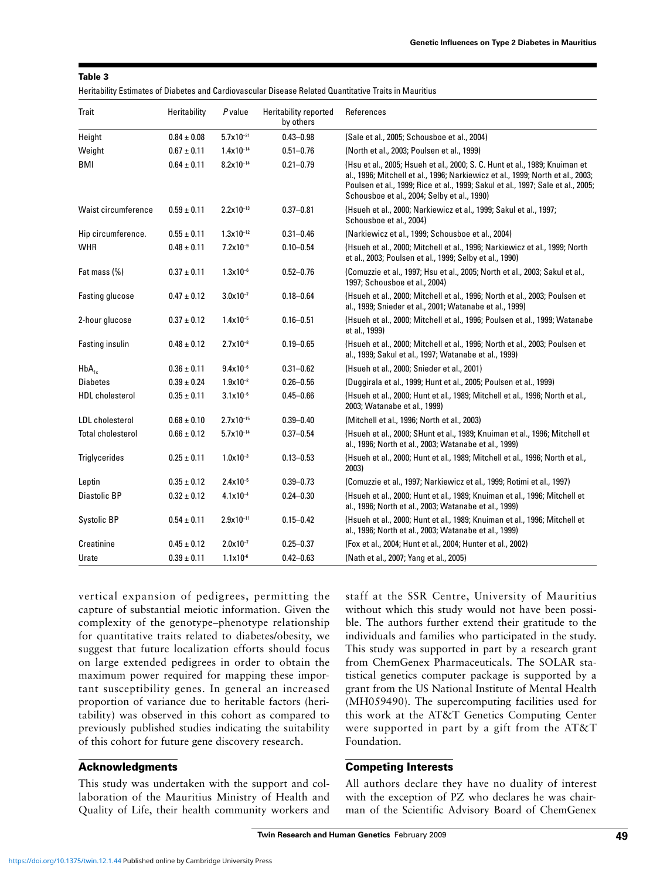|  | ۰, | ٧ |  |
|--|----|---|--|
|--|----|---|--|

| Heritability Estimates of Diabetes and Cardiovascular Disease Related Quantitative Traits in Mauritius |  |
|--------------------------------------------------------------------------------------------------------|--|
|--------------------------------------------------------------------------------------------------------|--|

| Trait                    | Heritability    | P value               | <b>Heritability reported</b><br>by others | References                                                                                                                                                                                                                                                                                     |
|--------------------------|-----------------|-----------------------|-------------------------------------------|------------------------------------------------------------------------------------------------------------------------------------------------------------------------------------------------------------------------------------------------------------------------------------------------|
| Height                   | $0.84 \pm 0.08$ | $5.7 \times 10^{-21}$ | $0.43 - 0.98$                             | (Sale et al., 2005; Schousboe et al., 2004)                                                                                                                                                                                                                                                    |
| Weight                   | $0.67 \pm 0.11$ | $1.4x10^{-14}$        | $0.51 - 0.76$                             | (North et al., 2003; Poulsen et al., 1999)                                                                                                                                                                                                                                                     |
| BMI                      | $0.64 \pm 0.11$ | $8.2 \times 10^{-14}$ | $0.21 - 0.79$                             | (Hsu et al., 2005; Hsueh et al., 2000; S. C. Hunt et al., 1989; Knuiman et<br>al., 1996; Mitchell et al., 1996; Narkiewicz et al., 1999; North et al., 2003;<br>Poulsen et al., 1999; Rice et al., 1999; Sakul et al., 1997; Sale et al., 2005;<br>Schousboe et al., 2004; Selby et al., 1990) |
| Waist circumference      | $0.59 \pm 0.11$ | $2.2 \times 10^{-13}$ | $0.37 - 0.81$                             | (Hsueh et al., 2000; Narkiewicz et al., 1999; Sakul et al., 1997;<br>Schousboe et al., 2004)                                                                                                                                                                                                   |
| Hip circumference.       | $0.55 \pm 0.11$ | $1.3x10^{-12}$        | $0.31 - 0.46$                             | (Narkiewicz et al., 1999; Schousboe et al., 2004)                                                                                                                                                                                                                                              |
| <b>WHR</b>               | $0.48 \pm 0.11$ | $7.2 \times 10^{-9}$  | $0.10 - 0.54$                             | (Hsueh et al., 2000; Mitchell et al., 1996; Narkiewicz et al., 1999; North<br>et al., 2003; Poulsen et al., 1999; Selby et al., 1990)                                                                                                                                                          |
| Fat mass (%)             | $0.37 \pm 0.11$ | $1.3x10^{-6}$         | $0.52 - 0.76$                             | (Comuzzie et al., 1997; Hsu et al., 2005; North et al., 2003; Sakul et al.,<br>1997; Schousboe et al., 2004)                                                                                                                                                                                   |
| Fasting glucose          | $0.47 \pm 0.12$ | $3.0x10^{-7}$         | $0.18 - 0.64$                             | (Hsueh et al., 2000; Mitchell et al., 1996; North et al., 2003; Poulsen et<br>al., 1999; Snieder et al., 2001; Watanabe et al., 1999)                                                                                                                                                          |
| 2-hour glucose           | $0.37 \pm 0.12$ | $1.4x10^{-5}$         | $0.16 - 0.51$                             | (Hsueh et al., 2000; Mitchell et al., 1996; Poulsen et al., 1999; Watanabe<br>et al., 1999)                                                                                                                                                                                                    |
| Fasting insulin          | $0.48 \pm 0.12$ | $2.7 \times 10^{-8}$  | $0.19 - 0.65$                             | (Hsueh et al., 2000; Mitchell et al., 1996; North et al., 2003; Poulsen et<br>al., 1999; Sakul et al., 1997; Watanabe et al., 1999)                                                                                                                                                            |
| $HbA_{1c}$               | $0.36 \pm 0.11$ | $9.4x10^{-6}$         | $0.31 - 0.62$                             | (Hsueh et al., 2000; Snieder et al., 2001)                                                                                                                                                                                                                                                     |
| <b>Diabetes</b>          | $0.39 \pm 0.24$ | $1.9x10^{-2}$         | $0.26 - 0.56$                             | (Duggirala et al., 1999; Hunt et al., 2005; Poulsen et al., 1999)                                                                                                                                                                                                                              |
| <b>HDL</b> cholesterol   | $0.35 \pm 0.11$ | $3.1x10^{-6}$         | $0.45 - 0.66$                             | (Hsueh et al., 2000; Hunt et al., 1989; Mitchell et al., 1996; North et al.,<br>2003; Watanabe et al., 1999)                                                                                                                                                                                   |
| <b>LDL</b> cholesterol   | $0.68 \pm 0.10$ | $2.7 \times 10^{-15}$ | $0.39 - 0.40$                             | (Mitchell et al., 1996; North et al., 2003)                                                                                                                                                                                                                                                    |
| <b>Total cholesterol</b> | $0.66 \pm 0.12$ | $5.7x10^{-14}$        | $0.37 - 0.54$                             | (Hsueh et al., 2000; SHunt et al., 1989; Knuiman et al., 1996; Mitchell et<br>al., 1996; North et al., 2003; Watanabe et al., 1999)                                                                                                                                                            |
| <b>Triglycerides</b>     | $0.25 \pm 0.11$ | $1.0x10^{-3}$         | $0.13 - 0.53$                             | (Hsueh et al., 2000; Hunt et al., 1989; Mitchell et al., 1996; North et al.,<br>2003)                                                                                                                                                                                                          |
| Leptin                   | $0.35 \pm 0.12$ | $2.4x10^{-5}$         | $0.39 - 0.73$                             | (Comuzzie et al., 1997; Narkiewicz et al., 1999; Rotimi et al., 1997)                                                                                                                                                                                                                          |
| <b>Diastolic BP</b>      | $0.32 \pm 0.12$ | $4.1x10^{-4}$         | $0.24 - 0.30$                             | (Hsueh et al., 2000; Hunt et al., 1989; Knuiman et al., 1996; Mitchell et<br>al., 1996; North et al., 2003; Watanabe et al., 1999)                                                                                                                                                             |
| Systolic BP              | $0.54 \pm 0.11$ | $2.9x10^{-11}$        | $0.15 - 0.42$                             | (Hsueh et al., 2000; Hunt et al., 1989; Knuiman et al., 1996; Mitchell et<br>al., 1996; North et al., 2003; Watanabe et al., 1999)                                                                                                                                                             |
| Creatinine               | $0.45 \pm 0.12$ | $2.0x10^{-7}$         | $0.25 - 0.37$                             | (Fox et al., 2004; Hunt et al., 2004; Hunter et al., 2002)                                                                                                                                                                                                                                     |
| Urate                    | $0.39 \pm 0.11$ | $1.1x10^{-6}$         | $0.42 - 0.63$                             | (Nath et al., 2007; Yang et al., 2005)                                                                                                                                                                                                                                                         |

vertical expansion of pedigrees, permitting the capture of substantial meiotic information. Given the complexity of the genotype–phenotype relationship for quantitative traits related to diabetes/obesity, we suggest that future localization efforts should focus on large extended pedigrees in order to obtain the maximum power required for mapping these important susceptibility genes. In general an increased proportion of variance due to heritable factors (heritability) was observed in this cohort as compared to previously published studies indicating the suitability of this cohort for future gene discovery research.

# **Acknowledgments**

This study was undertaken with the support and collaboration of the Mauritius Ministry of Health and Quality of Life, their health community workers and staff at the SSR Centre, University of Mauritius without which this study would not have been possible. The authors further extend their gratitude to the individuals and families who participated in the study. This study was supported in part by a research grant from ChemGenex Pharmaceuticals. The SOLAR statistical genetics computer package is supported by a grant from the US National Institute of Mental Health (MH059490). The supercomputing facilities used for this work at the AT&T Genetics Computing Center were supported in part by a gift from the AT&T Foundation.

# **Competing Interests**

All authors declare they have no duality of interest with the exception of PZ who declares he was chairman of the Scientific Advisory Board of ChemGenex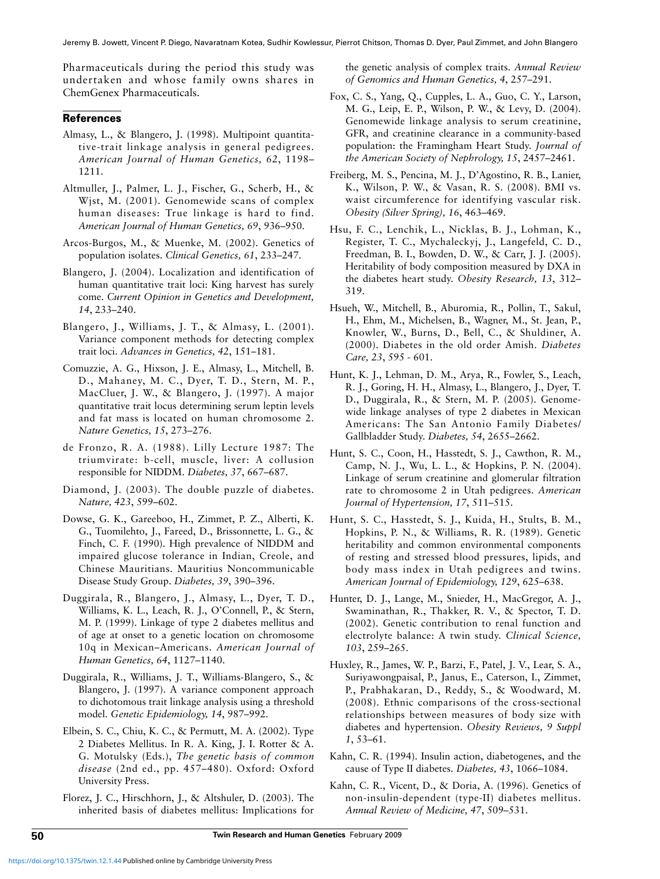Pharmaceuticals during the period this study was undertaken and whose family owns shares in ChemGenex Pharmaceuticals.

# **References**

- Almasy, L., & Blangero, J. (1998). Multipoint quantitative-trait linkage analysis in general pedigrees. *American Journal of Human Genetics, 62*, 1198– 1211.
- Altmuller, J., Palmer, L. J., Fischer, G., Scherb, H., & Wjst, M. (2001). Genomewide scans of complex human diseases: True linkage is hard to find. *American Journal of Human Genetics, 69*, 936–950.
- Arcos-Burgos, M., & Muenke, M. (2002). Genetics of population isolates. *Clinical Genetics, 61*, 233–247.
- Blangero, J. (2004). Localization and identification of human quantitative trait loci: King harvest has surely come. *Current Opinion in Genetics and Development, 14*, 233–240.
- Blangero, J., Williams, J. T., & Almasy, L. (2001). Variance component methods for detecting complex trait loci. *Advances in Genetics, 42*, 151–181.
- Comuzzie, A. G., Hixson, J. E., Almasy, L., Mitchell, B. D., Mahaney, M. C., Dyer, T. D., Stern, M. P., MacCluer, J. W., & Blangero, J. (1997). A major quantitative trait locus determining serum leptin levels and fat mass is located on human chromosome 2. *Nature Genetics, 15*, 273–276.
- de Fronzo, R. A. (1988). Lilly Lecture 1987: The triumvirate: b-cell, muscle, liver: A collusion responsible for NIDDM. *Diabetes, 37*, 667–687.
- Diamond, J. (2003). The double puzzle of diabetes. *Nature, 423*, 599–602.
- Dowse, G. K., Gareeboo, H., Zimmet, P. Z., Alberti, K. G., Tuomilehto, J., Fareed, D., Brissonnette, L. G., & Finch, C. F. (1990). High prevalence of NIDDM and impaired glucose tolerance in Indian, Creole, and Chinese Mauritians. Mauritius Noncommunicable Disease Study Group. *Diabetes, 39*, 390–396.
- Duggirala, R., Blangero, J., Almasy, L., Dyer, T. D., Williams, K. L., Leach, R. J., O'Connell, P., & Stern, M. P. (1999). Linkage of type 2 diabetes mellitus and of age at onset to a genetic location on chromosome 10q in Mexican–Americans. *American Journal of Human Genetics, 64*, 1127–1140.
- Duggirala, R., Williams, J. T., Williams-Blangero, S., & Blangero, J. (1997). A variance component approach to dichotomous trait linkage analysis using a threshold model. *Genetic Epidemiology, 14*, 987–992.
- Elbein, S. C., Chiu, K. C., & Permutt, M. A. (2002). Type 2 Diabetes Mellitus. In R. A. King, J. I. Rotter & A. G. Motulsky (Eds.), *The genetic basis of common disease* (2nd ed., pp. 457–480). Oxford: Oxford University Press.
- Florez, J. C., Hirschhorn, J., & Altshuler, D. (2003). The inherited basis of diabetes mellitus: Implications for

the genetic analysis of complex traits. *Annual Review of Genomics and Human Genetics, 4*, 257–291.

- Fox, C. S., Yang, Q., Cupples, L. A., Guo, C. Y., Larson, M. G., Leip, E. P., Wilson, P. W., & Levy, D. (2004). Genomewide linkage analysis to serum creatinine, GFR, and creatinine clearance in a community-based population: the Framingham Heart Study. *Journal of the American Society of Nephrology, 15*, 2457–2461.
- Freiberg, M. S., Pencina, M. J., D'Agostino, R. B., Lanier, K., Wilson, P. W., & Vasan, R. S. (2008). BMI vs. waist circumference for identifying vascular risk. *Obesity (Silver Spring), 16*, 463–469.
- Hsu, F. C., Lenchik, L., Nicklas, B. J., Lohman, K., Register, T. C., Mychaleckyj, J., Langefeld, C. D., Freedman, B. I., Bowden, D. W., & Carr, J. J. (2005). Heritability of body composition measured by DXA in the diabetes heart study. *Obesity Research, 13*, 312– 319.
- Hsueh, W., Mitchell, B., Aburomia, R., Pollin, T., Sakul, H., Ehm, M., Michelsen, B., Wagner, M., St. Jean, P., Knowler, W., Burns, D., Bell, C., & Shuldiner, A. (2000). Diabetes in the old order Amish. *Diabetes Care, 23*, 595 - 601.
- Hunt, K. J., Lehman, D. M., Arya, R., Fowler, S., Leach, R. J., Goring, H. H., Almasy, L., Blangero, J., Dyer, T. D., Duggirala, R., & Stern, M. P. (2005). Genomewide linkage analyses of type 2 diabetes in Mexican Americans: The San Antonio Family Diabetes/ Gallbladder Study. *Diabetes, 54*, 2655–2662.
- Hunt, S. C., Coon, H., Hasstedt, S. J., Cawthon, R. M., Camp, N. J., Wu, L. L., & Hopkins, P. N. (2004). Linkage of serum creatinine and glomerular filtration rate to chromosome 2 in Utah pedigrees. *American Journal of Hypertension, 17*, 511–515.
- Hunt, S. C., Hasstedt, S. J., Kuida, H., Stults, B. M., Hopkins, P. N., & Williams, R. R. (1989). Genetic heritability and common environmental components of resting and stressed blood pressures, lipids, and body mass index in Utah pedigrees and twins. *American Journal of Epidemiology, 129*, 625–638.
- Hunter, D. J., Lange, M., Snieder, H., MacGregor, A. J., Swaminathan, R., Thakker, R. V., & Spector, T. D. (2002). Genetic contribution to renal function and electrolyte balance: A twin study. *Clinical Science, 103*, 259–265.
- Huxley, R., James, W. P., Barzi, F., Patel, J. V., Lear, S. A., Suriyawongpaisal, P., Janus, E., Caterson, I., Zimmet, P., Prabhakaran, D., Reddy, S., & Woodward, M. (2008). Ethnic comparisons of the cross-sectional relationships between measures of body size with diabetes and hypertension. *Obesity Reviews, 9 Suppl 1*, 53–61.
- Kahn, C. R. (1994). Insulin action, diabetogenes, and the cause of Type II diabetes. *Diabetes, 43*, 1066–1084.
- Kahn, C. R., Vicent, D., & Doria, A. (1996). Genetics of non-insulin-dependent (type-II) diabetes mellitus. *Annual Review of Medicine, 47*, 509–531.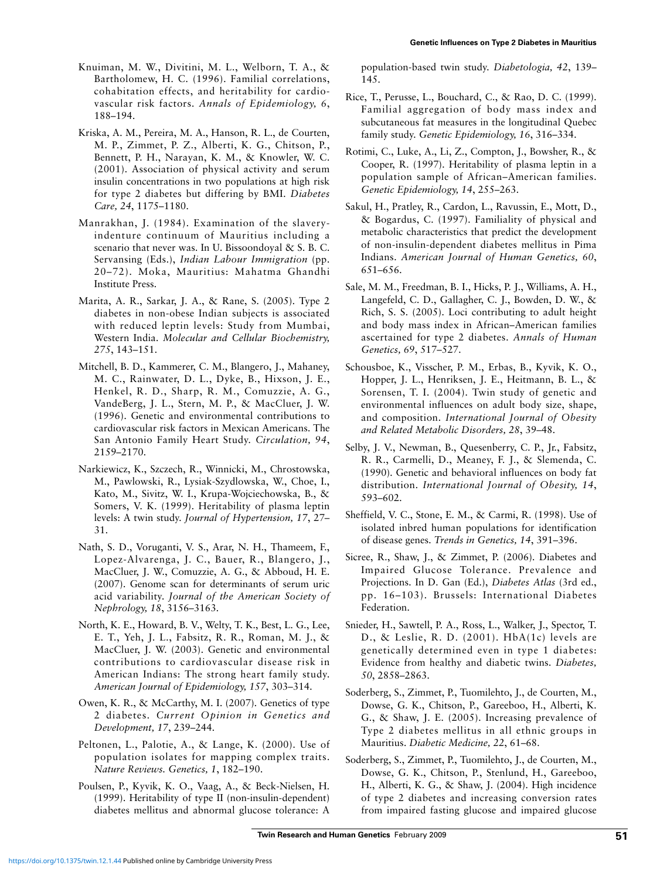- Knuiman, M. W., Divitini, M. L., Welborn, T. A., & Bartholomew, H. C. (1996). Familial correlations, cohabitation effects, and heritability for cardio vascular risk factors. *Annals of Epidemiology, 6*, 188–194.
- Kriska, A. M., Pereira, M. A., Hanson, R. L., de Courten, M. P., Zimmet, P. Z., Alberti, K. G., Chitson, P., Bennett, P. H., Narayan, K. M., & Knowler, W. C. (2001). Association of physical activity and serum insulin concentrations in two populations at high risk for type 2 diabetes but differing by BMI. *Diabetes Care, 24*, 1175–1180.
- Manrakhan, J. (1984). Examination of the slaveryindenture continuum of Mauritius including a scenario that never was. In U. Bissoondoyal & S. B. C. Servansing (Eds.), *Indian Labour Immigration* (pp. 20–72). Moka, Mauritius: Mahatma Ghandhi Institute Press.
- Marita, A. R., Sarkar, J. A., & Rane, S. (2005). Type 2 diabetes in non-obese Indian subjects is associated with reduced leptin levels: Study from Mumbai, Western India. *Molecular and Cellular Biochemistry, 275*, 143–151.
- Mitchell, B. D., Kammerer, C. M., Blangero, J., Mahaney, M. C., Rainwater, D. L., Dyke, B., Hixson, J. E., Henkel, R. D., Sharp, R. M., Comuzzie, A. G., VandeBerg, J. L., Stern, M. P., & MacCluer, J. W. (1996). Genetic and environmental contributions to cardiovascular risk factors in Mexican Americans. The San Antonio Family Heart Study. *Circulation, 94*, 2159–2170.
- Narkiewicz, K., Szczech, R., Winnicki, M., Chrostowska, M., Pawlowski, R., Lysiak-Szydlowska, W., Choe, I., Kato, M., Sivitz, W. I., Krupa-Wojciechowska, B., & Somers, V. K. (1999). Heritability of plasma leptin levels: A twin study. *Journal of Hypertension, 17*, 27– 31.
- Nath, S. D., Voruganti, V. S., Arar, N. H., Thameem, F., Lopez-Alvarenga, J. C., Bauer, R., Blangero, J., MacCluer, J. W., Comuzzie, A. G., & Abboud, H. E. (2007). Genome scan for determinants of serum uric acid variability. *Journal of the American Society of Nephrology, 18*, 3156–3163.
- North, K. E., Howard, B. V., Welty, T. K., Best, L. G., Lee, E. T., Yeh, J. L., Fabsitz, R. R., Roman, M. J., & MacCluer, J. W. (2003). Genetic and environmental contributions to cardiovascular disease risk in American Indians: The strong heart family study. *American Journal of Epidemiology, 157*, 303–314.
- Owen, K. R., & McCarthy, M. I. (2007). Genetics of type 2 diabetes. *Current Opinion in Genetics and Development, 17*, 239–244.
- Peltonen, L., Palotie, A., & Lange, K. (2000). Use of population isolates for mapping complex traits. *Nature Reviews. Genetics, 1*, 182–190.
- Poulsen, P., Kyvik, K. O., Vaag, A., & Beck-Nielsen, H. (1999). Heritability of type II (non-insulin-dependent) diabetes mellitus and abnormal glucose tolerance: A

population-based twin study. *Diabetologia, 42*, 139– 145.

- Rice, T., Perusse, L., Bouchard, C., & Rao, D. C. (1999). Familial aggregation of body mass index and subcutaneous fat measures in the longitudinal Quebec family study. *Genetic Epidemiology, 16*, 316–334.
- Rotimi, C., Luke, A., Li, Z., Compton, J., Bowsher, R., & Cooper, R. (1997). Heritability of plasma leptin in a population sample of African–American families. *Genetic Epidemiology, 14*, 255–263.
- Sakul, H., Pratley, R., Cardon, L., Ravussin, E., Mott, D., & Bogardus, C. (1997). Familiality of physical and metabolic characteristics that predict the development of non-insulin-dependent diabetes mellitus in Pima Indians. *American Journal of Human Genetics, 60*, 651–656.
- Sale, M. M., Freedman, B. I., Hicks, P. J., Williams, A. H., Langefeld, C. D., Gallagher, C. J., Bowden, D. W., & Rich, S. S. (2005). Loci contributing to adult height and body mass index in African–American families ascertained for type 2 diabetes. *Annals of Human Genetics, 69*, 517–527.
- Schousboe, K., Visscher, P. M., Erbas, B., Kyvik, K. O., Hopper, J. L., Henriksen, J. E., Heitmann, B. L., & Sorensen, T. I. (2004). Twin study of genetic and environmental influences on adult body size, shape, and composition. *International Journal of Obesity and Related Metabolic Disorders, 28*, 39–48.
- Selby, J. V., Newman, B., Quesenberry, C. P., Jr., Fabsitz, R. R., Carmelli, D., Meaney, F. J., & Slemenda, C. (1990). Genetic and behavioral influences on body fat distribution. *International Journal of Obesity, 14*, 593–602.
- Sheffield, V. C., Stone, E. M., & Carmi, R. (1998). Use of isolated inbred human populations for identification of disease genes. *Trends in Genetics, 14*, 391–396.
- Sicree, R., Shaw, J., & Zimmet, P. (2006). Diabetes and Impaired Glucose Tolerance. Prevalence and Projections. In D. Gan (Ed.), *Diabetes Atlas* (3rd ed., pp. 16–103). Brussels: International Diabetes Federation.
- Snieder, H., Sawtell, P. A., Ross, L., Walker, J., Spector, T. D., & Leslie, R. D. (2001). HbA(1c) levels are genetically determined even in type 1 diabetes: Evidence from healthy and diabetic twins. *Diabetes, 50*, 2858–2863.
- Soderberg, S., Zimmet, P., Tuomilehto, J., de Courten, M., Dowse, G. K., Chitson, P., Gareeboo, H., Alberti, K. G., & Shaw, J. E. (2005). Increasing prevalence of Type 2 diabetes mellitus in all ethnic groups in Mauritius. *Diabetic Medicine, 22*, 61–68.
- Soderberg, S., Zimmet, P., Tuomilehto, J., de Courten, M., Dowse, G. K., Chitson, P., Stenlund, H., Gareeboo, H., Alberti, K. G., & Shaw, J. (2004). High incidence of type 2 diabetes and increasing conversion rates from impaired fasting glucose and impaired glucose